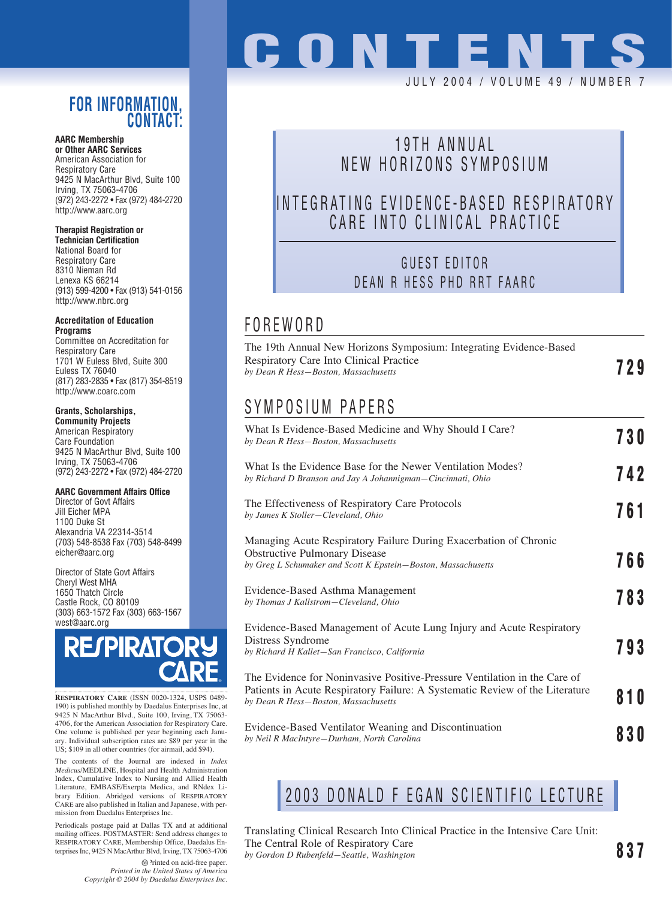## **FOR INFORMATION, CONTACT:**

**AARC Membership or Other AARC Services** American Association for Respiratory Care 9425 N MacArthur Blvd, Suite 100 Irving, TX 75063-4706 (972) 243-2272 • Fax (972) 484-2720 http://www.aarc.org

#### **Therapist Registration or**

**Technician Certification** National Board for Respiratory Care 8310 Nieman Rd Lenexa KS 66214 (913) 599-4200 • Fax (913) 541-0156 http://www.nbrc.org

#### **Accreditation of Education Programs**

Committee on Accreditation for Respiratory Care 1701 W Euless Blvd, Suite 300 Euless TX 76040 (817) 283-2835 • Fax (817) 354-8519 http://www.coarc.com

#### **Grants, Scholarships,**

**Community Projects** American Respiratory Care Foundation 9425 N MacArthur Blvd, Suite 100 Irving, TX 75063-4706 (972) 243-2272 • Fax (972) 484-2720

#### **AARC Government Affairs Office**

Director of Govt Affairs Jill Eicher MPA 1100 Duke St Alexandria VA 22314-3514 (703) 548-8538 Fax (703) 548-8499 eicher@aarc.org

Director of State Govt Affairs Cheryl West MHA 1650 Thatch Circle Castle Rock, CO 80109 (303) 663-1572 Fax (303) 663-1567 west@aarc.org

# **RESPIRATO**

**RESPIRATORY CARE** (ISSN 0020-1324, USPS 0489- 190) is published monthly by Daedalus Enterprises Inc, at 9425 N MacArthur Blvd., Suite 100, Irving, TX 75063- 4706, for the American Association for Respiratory Care. One volume is published per year beginning each January. Individual subscription rates are \$89 per year in the US; \$109 in all other countries (for airmail, add \$94).

The contents of the Journal are indexed in *Index Medicus*/MEDLINE, Hospital and Health Administration Index, Cumulative Index to Nursing and Allied Health Literature, EMBASE/Exerpta Medica, and RNdex Library Edition. Abridged versions of RESPIRATORY CARE are also published in Italian and Japanese, with permission from Daedalus Enterprises Inc.

Periodicals postage paid at Dallas TX and at additional mailing offices. POSTMASTER: Send address changes to RESPIRATORY CARE, Membership Office, Daedalus Enterprises Inc, 9425 N MacArthur Blvd, Irving, TX 75063-4706

# **CONTENT** JULY 2004 / VOLUME 49 / NUMBE

## 19TH ANNUAL NEW HORIZONS SYMPOSIUM

## INTEGRATING EVIDENCE-BASED RESPIRATORY CARE INTO CLINICAL PRACTICE

## GUEST EDITOR DEAN R HESS PHD RRT FAARC

## FOREWORD

| The 19th Annual New Horizons Symposium: Integrating Evidence-Based<br>Respiratory Care Into Clinical Practice<br>by Dean R Hess-Boston, Massachusetts                                             | 729 |
|---------------------------------------------------------------------------------------------------------------------------------------------------------------------------------------------------|-----|
| SYMPOSIUM PAPERS                                                                                                                                                                                  |     |
| What Is Evidence-Based Medicine and Why Should I Care?<br>by Dean R Hess-Boston, Massachusetts                                                                                                    | 730 |
| What Is the Evidence Base for the Newer Ventilation Modes?<br>by Richard D Branson and Jay A Johannigman–Cincinnati, Ohio                                                                         | 742 |
| The Effectiveness of Respiratory Care Protocols<br>by James K Stoller-Cleveland, Ohio                                                                                                             | 761 |
| Managing Acute Respiratory Failure During Exacerbation of Chronic<br><b>Obstructive Pulmonary Disease</b><br>by Greg L Schumaker and Scott K Epstein-Boston, Massachusetts                        | 766 |
| Evidence-Based Asthma Management<br>by Thomas J Kallstrom-Cleveland, Ohio                                                                                                                         | 783 |
| Evidence-Based Management of Acute Lung Injury and Acute Respiratory<br>Distress Syndrome<br>by Richard H Kallet-San Francisco, California                                                        | 793 |
| The Evidence for Noninvasive Positive-Pressure Ventilation in the Care of<br>Patients in Acute Respiratory Failure: A Systematic Review of the Literature<br>by Dean R Hess-Boston, Massachusetts | 81O |
| Evidence Besed Ventilator Weening and Discontinuation                                                                                                                                             |     |

Evidence-Based Ventilator Weaning and Discontinuation *by Neil R MacIntyre—Durham, North Carolina* **830**

# 2003 DONALD F EGAN SCIENTIFIC LECTURE

Translating Clinical Research Into Clinical Practice in the Intensive Care Unit: The Central Role of Respiratory Care *by Gordon D Rubenfeld—Seattle, Washington* **837**